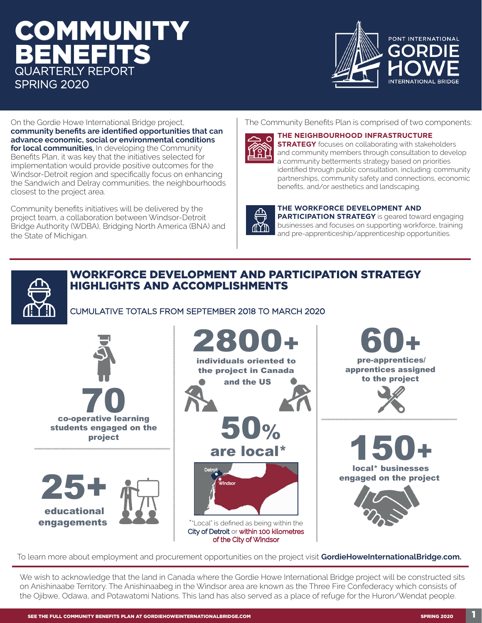## IMUNIT BENEFITS QUARTERLY REPORT SPRING 2020



On the Gordie Howe International Bridge project, **community benefits are identified opportunities that can advance economic, social or environmental conditions for local communities**. In developing the Community Benefits Plan, it was key that the initiatives selected for implementation would provide positive outcomes for the Windsor-Detroit region and specifically focus on enhancing the Sandwich and Delray communities, the neighbourhoods closest to the project area.

Community benefits initiatives will be delivered by the project team, a collaboration between Windsor-Detroit Bridge Authority (WDBA), Bridging North America (BNA) and the State of Michigan.

The Community Benefits Plan is comprised of two components:



**AYD** 

#### **THE NEIGHBOURHOOD INFRASTRUCTURE**

**STRATEGY** focuses on collaborating with stakeholders and community members through consultation to develop a community betterments strategy based on priorities identified through public consultation, including: community partnerships, community safety and connections, economic benefits, and/or aesthetics and landscaping.

#### **THE WORKFORCE DEVELOPMENT AND**

**PARTICIPATION STRATEGY** is geared toward engaging businesses and focuses on supporting workforce, training and pre-apprenticeship/apprenticeship opportunities.

#### WORKFORCE DEVELOPMENT AND PARTICIPATION STRATEGY HIGHLIGHTS AND ACCOMPLISHMENTS

CUMULATIVE TOTALS FROM SEPTEMBER 2018 TO MARCH 2020



To learn more about employment and procurement opportunities on the project visit **GordieHoweInternationalBridge.com.**

We wish to acknowledge that the land in Canada where the Gordie Howe International Bridge project will be constructed sits on Anishinaabe Territory. The Anishinaabeg in the Windsor area are known as the Three Fire Confederacy which consists of the Ojibwe, Odawa, and Potawatomi Nations. This land has also served as a place of refuge for the Huron/Wendat people.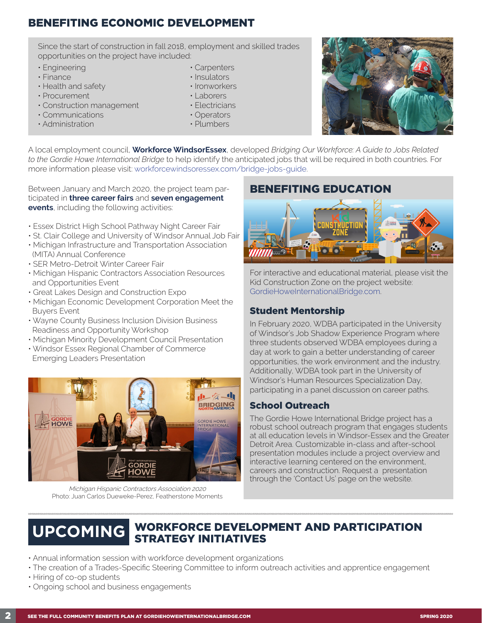### BENEFITING ECONOMIC DEVELOPMENT

Since the start of construction in fall 2018, employment and skilled trades opportunities on the project have included:

- Engineering
- Finance
- Health and safety
- Procurement
- Construction management
- Communications
- Administration
- Carpenters
- Insulators
- Ironworkers
- Laborers
- Electricians
- Operators
- Plumbers



A local employment council, **Workforce WindsorEssex**, developed *Bridging Our Workforce: A Guide to Jobs Related to the Gordie Howe International Bridge* to help identify the anticipated jobs that will be required in both countries. For more information please visit: workforcewindsoressex.com/bridge-jobs-guide.

Between January and March 2020, the project team participated in **three career fairs** and **seven engagement events**, including the following activities:

- Essex District High School Pathway Night Career Fair
- St. Clair College and University of Windsor Annual Job Fair
- Michigan Infrastructure and Transportation Association (MITA) Annual Conference
- SER Metro-Detroit Winter Career Fair
- Michigan Hispanic Contractors Association Resources and Opportunities Event
- Great Lakes Design and Construction Expo
- Michigan Economic Development Corporation Meet the Buyers Event
- Wayne County Business Inclusion Division Business Readiness and Opportunity Workshop
- Michigan Minority Development Council Presentation
- Windsor Essex Regional Chamber of Commerce Emerging Leaders Presentation



Michigan Hispanic Contractors Association 2020 Photo: Juan Carlos Dueweke-Perez, Featherstone Moments

### BENEFITING EDUCATION



For interactive and educational material, please visit the Kid Construction Zone on the project website: GordieHoweInternationalBridge.com.

#### Student Mentorship

In February 2020, WDBA participated in the University of Windsor's Job Shadow Experience Program where three students observed WDBA employees during a day at work to gain a better understanding of career opportunities, the work environment and the industry. Additionally, WDBA took part in the University of Windsor's Human Resources Specialization Day, participating in a panel discussion on career paths.

#### School Outreach

The Gordie Howe International Bridge project has a robust school outreach program that engages students at all education levels in Windsor-Essex and the Greater Detroit Area. Customizable in-class and after-school presentation modules include a project overview and interactive learning centered on the environment, careers and construction. Request a presentation through the 'Contact Us' page on the website.

# WORKFORCE DEVELOPMENT AND PARTICIPATION **UPCOMING** STRATEGY INITIATIVES

- Annual information session with workforce development organizations
- The creation of a Trades-Specific Steering Committee to inform outreach activities and apprentice engagement
- Hiring of co-op students
- Ongoing school and business engagements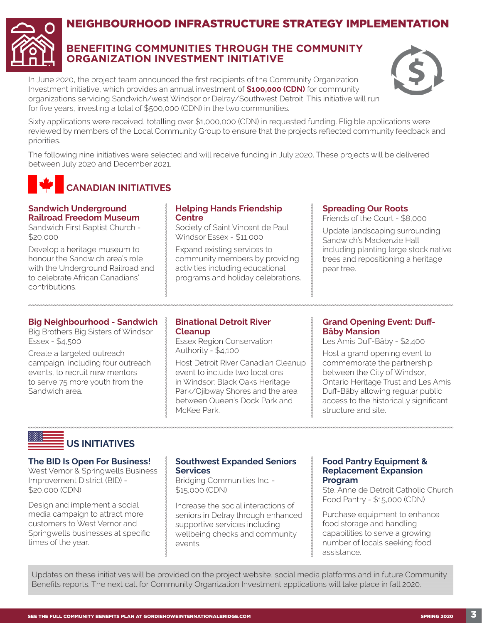

### NEIGHBOURHOOD INFRASTRUCTURE STRATEGY IMPLEMENTATION

#### **BENEFITING COMMUNITIES THROUGH THE COMMUNITY ORGANIZATION INVESTMENT INITIATIVE**

In June 2020, the project team announced the first recipients of the Community Organization Investment initiative, which provides an annual investment of **\$100,000 (CDN)** for community organizations servicing Sandwich/west Windsor or Delray/Southwest Detroit. This initiative will run for five years, investing a total of \$500,000 (CDN) in the two communities.



Sixty applications were received, totalling over \$1,000,000 (CDN) in requested funding. Eligible applications were reviewed by members of the Local Community Group to ensure that the projects reflected community feedback and priorities.

The following nine initiatives were selected and will receive funding in July 2020. These projects will be delivered between July 2020 and December 2021.

### **CANADIAN INITIATIVES**

#### **Sandwich Underground Railroad Freedom Museum**

Sandwich First Baptist Church - \$20,000

Develop a heritage museum to honour the Sandwich area's role with the Underground Railroad and to celebrate African Canadians' contributions.

#### **Helping Hands Friendship Centre**

Society of Saint Vincent de Paul Windsor Essex - \$11,000

Expand existing services to community members by providing activities including educational programs and holiday celebrations.

#### **Spreading Our Roots**

Friends of the Court - \$8,000

Update landscaping surrounding Sandwich's Mackenzie Hall including planting large stock native trees and repositioning a heritage pear tree.

#### **Big Neighbourhood - Sandwich**

Big Brothers Big Sisters of Windsor Essex - \$4,500

Create a targeted outreach campaign, including four outreach events, to recruit new mentors to serve 75 more youth from the Sandwich area.

#### **Binational Detroit River Cleanup**

Essex Region Conservation Authority - \$4,100

Host Detroit River Canadian Cleanup event to include two locations in Windsor: Black Oaks Heritage Park/Ojibway Shores and the area between Queen's Dock Park and McKee Park.

#### **Grand Opening Event: Duff-Bâby Mansion**

Les Amis Duff-Bâby - \$2,400

Host a grand opening event to commemorate the partnership between the City of Windsor, Ontario Heritage Trust and Les Amis Duff-Bâby allowing regular public access to the historically significant structure and site.

### **US INITIATIVES**

#### **The BID Is Open For Business!**

West Vernor & Springwells Business Improvement District (BID) - \$20,000 (CDN)

Design and implement a social media campaign to attract more customers to West Vernor and Springwells businesses at specific times of the year.

#### **Southwest Expanded Seniors Services**

Bridging Communities Inc. - \$15,000 (CDN)

Increase the social interactions of seniors in Delray through enhanced supportive services including wellbeing checks and community events.

#### **Food Pantry Equipment & Replacement Expansion Program**

Ste. Anne de Detroit Catholic Church Food Pantry - \$15,000 (CDN)

Purchase equipment to enhance food storage and handling capabilities to serve a growing number of locals seeking food assistance.

Updates on these initiatives will be provided on the project website, social media platforms and in future Community Benefits reports. The next call for Community Organization Investment applications will take place in fall 2020.